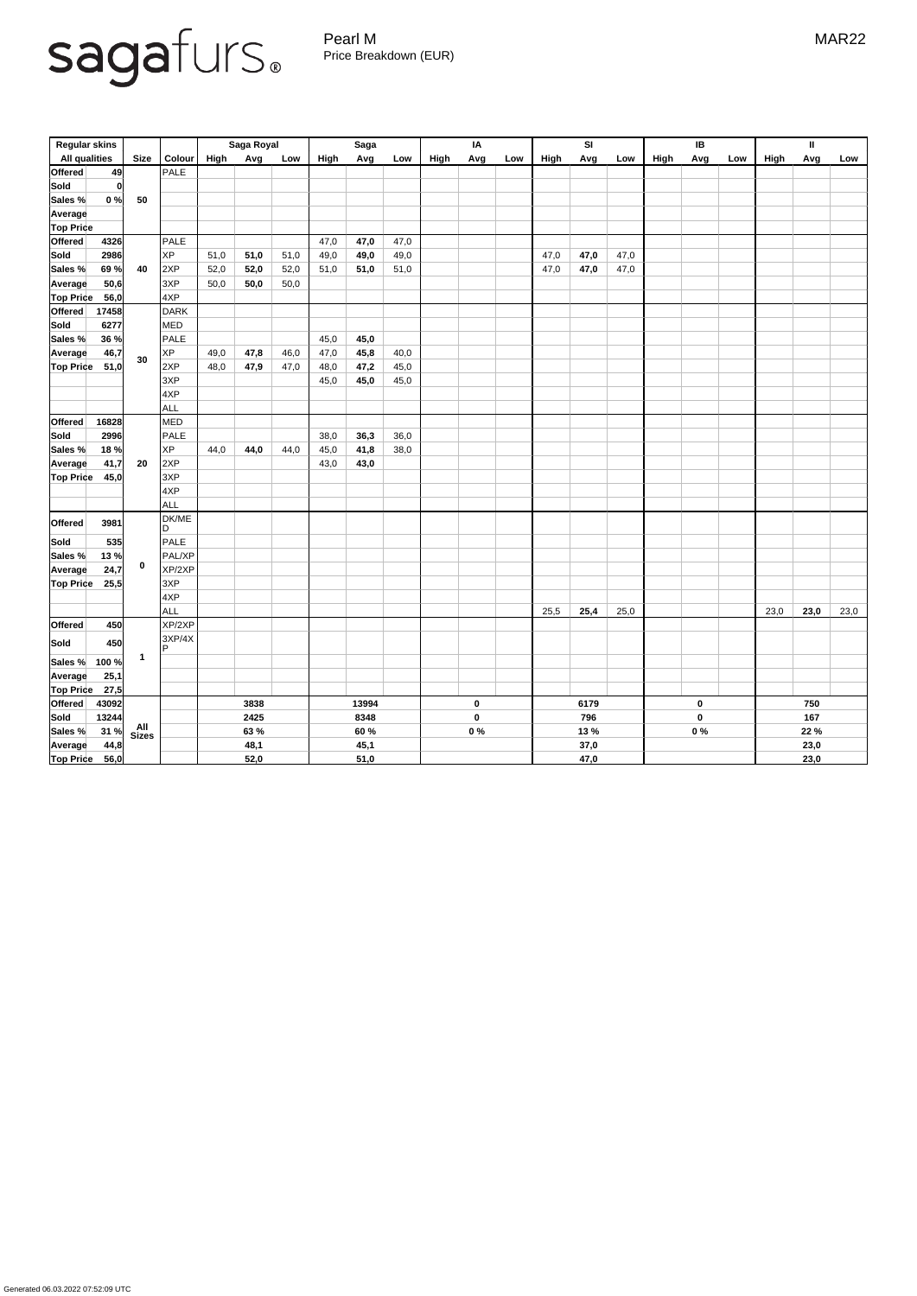Pearl M MAR22 Price Breakdown (EUR)

| <b>Regular skins</b>                         |              |                    | Saga Royal  |      | <b>Saga</b> |       |      | IA          |           |     | <b>SI</b> |      |                  | IB        |      | $\mathbf{II}$ |     |      |      |      |
|----------------------------------------------|--------------|--------------------|-------------|------|-------------|-------|------|-------------|-----------|-----|-----------|------|------------------|-----------|------|---------------|-----|------|------|------|
| <b>All qualities</b>                         | <b>Size</b>  | <b>Colour</b>      | <b>High</b> | Avg  | Low         | High  | Avg  | Low         | High      | Avg | Low       | High | Avg              | Low       | High | Avg           | Low | High | Avg  | Low  |
| <b>Offered</b><br>49                         |              | PALE               |             |      |             |       |      |             |           |     |           |      |                  |           |      |               |     |      |      |      |
| Sold<br> 0                                   |              |                    |             |      |             |       |      |             |           |     |           |      |                  |           |      |               |     |      |      |      |
| 0%<br>Sales %                                | 50           |                    |             |      |             |       |      |             |           |     |           |      |                  |           |      |               |     |      |      |      |
| Average                                      |              |                    |             |      |             |       |      |             |           |     |           |      |                  |           |      |               |     |      |      |      |
| <b>Top Price</b>                             |              |                    |             |      |             |       |      |             |           |     |           |      |                  |           |      |               |     |      |      |      |
| <b>Offered</b><br>4326                       |              | PALE               |             |      |             | 47,0  | 47,0 | 47,0        |           |     |           |      |                  |           |      |               |     |      |      |      |
| 2986<br><b>Sold</b>                          | 40           | <b>XP</b>          | 51,0        | 51,0 | 51,0        | 49,0  | 49,0 | 49,0        |           |     |           | 47,0 | 47,0             | 47,0      |      |               |     |      |      |      |
| 69 %<br>Sales %                              |              | 2XP                | 52,0        | 52,0 | 52,0        | 51,0  | 51,0 | 51,0        |           |     |           | 47,0 | 47,0             | 47,0      |      |               |     |      |      |      |
| 50,6<br><b>Average</b>                       |              | 3XP                | 50,0        | 50,0 | 50,0        |       |      |             |           |     |           |      |                  |           |      |               |     |      |      |      |
| <b>Top Price</b><br>56,0                     |              | 4XP                |             |      |             |       |      |             |           |     |           |      |                  |           |      |               |     |      |      |      |
| <b>Offered</b><br>17458                      | 30           | <b>DARK</b>        |             |      |             |       |      |             |           |     |           |      |                  |           |      |               |     |      |      |      |
| <b>Sold</b><br>6277                          |              | MED                |             |      |             |       |      |             |           |     |           |      |                  |           |      |               |     |      |      |      |
| 36 %<br>Sales %                              |              | PALE               |             |      |             | 45,0  | 45,0 |             |           |     |           |      |                  |           |      |               |     |      |      |      |
| 46,7<br><b>Average</b>                       |              | <b>XP</b>          | 49,0        | 47,8 | 46,0        | 47,0  | 45,8 | 40,0        |           |     |           |      |                  |           |      |               |     |      |      |      |
| 51,0<br><b>Top Price</b>                     |              | 2XP                | 48,0        | 47,9 | 47,0        | 48,0  | 47,2 | 45,0        |           |     |           |      |                  |           |      |               |     |      |      |      |
|                                              |              | 3XP                |             |      |             | 45,0  | 45,0 | 45,0        |           |     |           |      |                  |           |      |               |     |      |      |      |
|                                              |              | 4XP                |             |      |             |       |      |             |           |     |           |      |                  |           |      |               |     |      |      |      |
|                                              |              | ALL                |             |      |             |       |      |             |           |     |           |      |                  |           |      |               |     |      |      |      |
| <b>Offered</b><br>16828                      |              | MED                |             |      |             |       |      |             |           |     |           |      |                  |           |      |               |     |      |      |      |
| <b>Sold</b><br>2996                          | 20           | PALE               |             |      |             | 38,0  | 36,3 | 36,0        |           |     |           |      |                  |           |      |               |     |      |      |      |
| 18%<br>Sales %                               |              | <b>XP</b>          | 44,0        | 44,0 | 44,0        | 45,0  | 41,8 | 38,0        |           |     |           |      |                  |           |      |               |     |      |      |      |
| 41,7<br><b>Average</b>                       |              | 2XP                |             |      |             | 43,0  | 43,0 |             |           |     |           |      |                  |           |      |               |     |      |      |      |
| <b>Top Price</b><br>45,0                     |              | 3XP                |             |      |             |       |      |             |           |     |           |      |                  |           |      |               |     |      |      |      |
|                                              |              | 4XP                |             |      |             |       |      |             |           |     |           |      |                  |           |      |               |     |      |      |      |
|                                              |              | ALL                |             |      |             |       |      |             |           |     |           |      |                  |           |      |               |     |      |      |      |
|                                              | $\mathbf 0$  | DK/ME              |             |      |             |       |      |             |           |     |           |      |                  |           |      |               |     |      |      |      |
| <b>Offered</b><br>3981                       |              | ID.                |             |      |             |       |      |             |           |     |           |      |                  |           |      |               |     |      |      |      |
| <b>Sold</b><br>535                           |              | PALE               |             |      |             |       |      |             |           |     |           |      |                  |           |      |               |     |      |      |      |
| Sales %<br>13%                               |              | PAL/XP             |             |      |             |       |      |             |           |     |           |      |                  |           |      |               |     |      |      |      |
| 24,7<br>Average                              |              | XP/2XP             |             |      |             |       |      |             |           |     |           |      |                  |           |      |               |     |      |      |      |
| <b>Top Price</b><br>25,5                     |              | 3XP                |             |      |             |       |      |             |           |     |           |      |                  |           |      |               |     |      |      |      |
|                                              |              | 4XP                |             |      |             |       |      |             |           |     |           |      |                  |           |      |               |     |      |      |      |
|                                              |              | ALL                |             |      |             |       |      |             |           |     |           | 25,5 | 25,4             | 25,0      |      |               |     | 23,0 | 23,0 | 23,0 |
| <b>Offered</b><br>450                        |              | XP/2XP             |             |      |             |       |      |             |           |     |           |      |                  |           |      |               |     |      |      |      |
| 450<br><b>Sold</b>                           |              | 3XP/4X<br><b>P</b> |             |      |             |       |      |             |           |     |           |      |                  |           |      |               |     |      |      |      |
| Sales %<br>100 %                             | $\mathbf 1$  |                    |             |      |             |       |      |             |           |     |           |      |                  |           |      |               |     |      |      |      |
| 25,1<br>Average                              |              |                    |             |      |             |       |      |             |           |     |           |      |                  |           |      |               |     |      |      |      |
|                                              |              |                    |             |      |             |       |      |             |           |     |           |      |                  |           |      |               |     |      |      |      |
| <b>Top Price</b><br>27,5<br>Offered<br>43092 |              |                    | 3838        |      |             | 13994 |      |             | $\pmb{0}$ |     |           | 6179 |                  | $\pmb{0}$ |      |               | 750 |      |      |      |
| 13244<br>Sold                                |              |                    | 2425        |      |             | 8348  |      | $\mathbf 0$ |           | 796 |           |      | $\boldsymbol{0}$ |           | 167  |               |     |      |      |      |
| 31%<br>Sales %                               | All<br>Sizes |                    | 63 %        |      |             | 60 %  |      |             | $0\%$     |     | 13 %      |      |                  | $0\%$     |      | 22 %          |     |      |      |      |
| 44,8<br>Average                              |              |                    |             | 48,1 |             |       | 45,1 |             |           |     |           |      | 37,0             |           |      |               |     |      | 23,0 |      |
| <b>Top Price</b><br>56,0                     |              |                    |             | 52,0 |             |       | 51,0 |             |           |     |           |      | 47,0             |           |      |               |     |      | 23,0 |      |
|                                              |              |                    |             |      |             |       |      |             |           |     |           |      |                  |           |      |               |     |      |      |      |